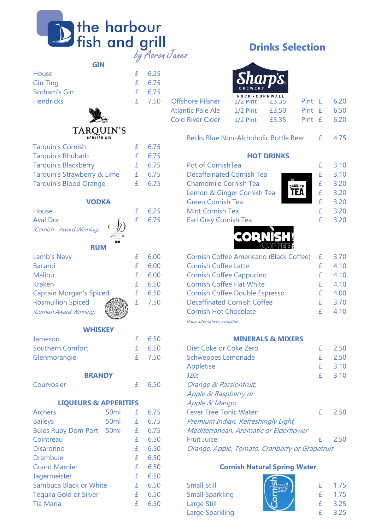| <b>D</b> the harbour<br>Fish and grill<br>by Aaron Janes |
|----------------------------------------------------------|
|----------------------------------------------------------|

|  | $f = 6.25$<br>£ 6.75<br>$f = 6.75$<br>£ 7.50 Offsh |
|--|----------------------------------------------------|



#### **TARQUIN'S CORNISH GIN**

| <b>Tarquin's Cornish</b>       | £ | 6.75 |
|--------------------------------|---|------|
| <b>Tarquin's Rhubarb</b>       | £ | 6.75 |
| <b>Tarquin's Blackberry</b>    | £ | 6.75 |
| Tarquin's Strawberry & Lime    | £ | 6.75 |
| <b>Tarquin's Blood Orange</b>  | £ | 6.75 |
| <b>VODKA</b>                   |   |      |
| House                          | £ | 6.25 |
| <b>Aval Dor</b>                | £ | 6.75 |
| (Cornish - Award Winning)      |   |      |
| <b>RUM</b>                     |   |      |
| Lamb's Navy                    | £ | 6.00 |
| <b>Bacardi</b>                 | f | 6.00 |
| <b>Malibu</b>                  | £ | 6.00 |
| <b>Kraken</b>                  | £ | 6.50 |
| <b>Captain Morgan's Spiced</b> | £ | 6.50 |
| <b>Rosmullion Spiced</b>       | £ | 7.50 |
| (Cornish Award Winning)        |   |      |

#### **WHISKEY**

| Jameson                          |                  | £ | 6.50 | <b>MINERALS &amp; MIXERS</b>           |
|----------------------------------|------------------|---|------|----------------------------------------|
| <b>Southern Comfort</b>          |                  | £ | 6.50 | Diet Coke or Coke Zero                 |
| Glenmorangie                     |                  | £ | 7.50 | <b>Schweppes Lemonade</b>              |
|                                  |                  |   |      | Appletise                              |
| <b>BRANDY</b>                    |                  |   |      | J20:                                   |
| Courvosier                       |                  | £ | 6.50 | Orange & Passionfruit,                 |
|                                  |                  |   |      | Apple & Raspberry or                   |
| <b>LIQUEURS &amp; APPERITIFS</b> |                  |   |      | Apple & Mango                          |
| <b>Archers</b>                   | 50 <sub>ml</sub> | £ | 6.75 | <b>Fever Tree Tonic Water:</b>         |
| <b>Baileys</b>                   | 50 <sub>ml</sub> | £ | 6.75 | Premium Indian, Refreshingly Light,    |
| <b>Bules Ruby Dom Port</b>       | 50 <sub>ml</sub> | £ | 6.75 | Mediterranean, Aromatic or Elderflower |
| Cointreau                        |                  | £ | 6.50 | <b>Fruit Juice:</b>                    |
| <b>Disaronno</b>                 |                  | £ | 6.50 | Orange, Apple, Tomato, Cranberry or Gi |
| <b>Drambuie</b>                  |                  | £ | 6.50 |                                        |
| <b>Grand Marnier</b>             |                  | £ | 6.50 | <b>Cornish Natural Spring Wat</b>      |
| Jagermeister                     |                  | £ | 6.50 |                                        |
| Sambuca Black or White           |                  | £ | 6.50 | <b>Small Still</b>                     |
| <b>Tequila Gold or Silver</b>    |                  | £ | 6.50 | <b>Small Sparkling</b>                 |
| <b>Tia Maria</b>                 |                  | £ | 6.50 | Large Still                            |
|                                  |                  |   |      |                                        |

| 6.25 |  |
|------|--|
| 6.75 |  |

## **Drinks Selection**



|                          | ROCK · CORNWALL                |  |                 |
|--------------------------|--------------------------------|--|-----------------|
| <b>Offshore Pilsner</b>  | $1/2$ Pint $\pm$ 3.35          |  | Pint $f = 6.20$ |
| <b>Atlantic Pale Ale</b> | $1/2$ Pint $\qquad$ £3.50      |  | Pint $E = 6.50$ |
| <b>Cold River Cider</b>  | 1/2 Pint $£3.35$ Pint $£$ 6.20 |  |                 |

|  | Becks Blue Non-Alchoholic Bottle Beer |  | 4.75 |
|--|---------------------------------------|--|------|
|  |                                       |  |      |

#### **HOT DRINKS**

| <b>Tarquin's Blackberry</b>   |              | £ $6.75$ | Pot of CornishTea                              | 3.10 |
|-------------------------------|--------------|----------|------------------------------------------------|------|
| Tarquin's Strawberry & Lime   |              | 6.75     | <b>Decaffeinated Cornish Tea</b>               | 3.10 |
| <b>Tarquin's Blood Orange</b> |              | £ $6.75$ | <b>Chamomile Cornish Tea</b><br><b>GORNISH</b> | 3.20 |
|                               |              |          | <b>TEA</b><br>Lemon & Ginger Cornish Tea       | 3.20 |
|                               | <b>VODKA</b> |          | <b>Green Cornish Tea</b>                       | 3.20 |
| <b>House</b>                  |              | 6.25     | Mint Cornish Tea                               | 3.20 |
| <b>Aval Dor</b>               |              | 6.75     | <b>Earl Grey Cornish Tea</b>                   | 3.20 |
|                               |              |          |                                                |      |



| Lamb's Navy                    |  | 6.00 | Cornish Coffee Americano (Black Coffee) £ | 3.70 |
|--------------------------------|--|------|-------------------------------------------|------|
| <b>Bacardi</b>                 |  | 6.00 | <b>Cornish Coffee Latte</b>               | 4.10 |
| Malibu                         |  | 6.00 | <b>Cornish Coffee Cappucino</b>           | 4.10 |
| <b>Kraken</b>                  |  | 6.50 | <b>Cornish Coffee Flat White</b>          | 4.10 |
| <b>Captain Morgan's Spiced</b> |  | 6.50 | <b>Cornish Coffee Double Espresso</b>     | 4.00 |
| <b>Rosmullion Spiced</b>       |  | 7.50 | <b>Decaffinated Cornish Coffee</b>        | 3.70 |
| (Cornish Award Winning)        |  |      | <b>Cornish Hot Chocolate</b>              | 4.10 |

Dairy alternatives available

#### **MINERALS & MIXERS**

| <b>Southern Comfort</b>          |                  | Ŧ. | 6.50 | Diet Coke or Coke Zero                         |    | 2.50 |
|----------------------------------|------------------|----|------|------------------------------------------------|----|------|
| Glenmorangie                     |                  | Ŧ. | 7.50 | Schweppes Lemonade                             | £  | 2.50 |
|                                  |                  |    |      | Appletise                                      | £  | 3.10 |
| <b>BRANDY</b>                    |                  |    |      | J20:                                           | Ŧ. | 3.10 |
| Courvosier                       |                  | £  | 6.50 | Orange & Passionfruit,                         |    |      |
|                                  |                  |    |      | Apple & Raspberry or                           |    |      |
| <b>LIQUEURS &amp; APPERITIFS</b> |                  |    |      | Apple & Mango                                  |    |      |
| <b>Archers</b>                   | 50 <sub>ml</sub> | £  | 6.75 | <b>Fever Tree Tonic Water:</b>                 |    | 2.50 |
| <b>Baileys</b>                   | 50 <sub>ml</sub> | £  | 6.75 | Premium Indian, Refreshingly Light,            |    |      |
| <b>Bules Ruby Dom Port</b>       | 50 <sub>ml</sub> | £  | 6.75 | Mediterranean, Aromatic or Elderflower         |    |      |
| Cointreau                        |                  | £  | 6.50 | <b>Fruit Juice:</b>                            |    | 2.50 |
| <b>Disaronno</b>                 |                  | £  | 6.50 | Orange, Apple, Tomato, Cranberry or Grapefruit |    |      |
|                                  |                  |    |      |                                                |    |      |

#### **Cornish Natural Spring Water**  $\sim$

| JAYENNEISLEI           | L 0.JU     |                        |  |      |
|------------------------|------------|------------------------|--|------|
| Sambuca Black or White | $f = 650$  | <b>Small Still</b>     |  | 1.75 |
| Teguila Gold or Silver | £ $6.50$   | <b>Small Sparkling</b> |  | 1.75 |
| Tia Maria              | $f = 6.50$ | Large Still            |  | 3.25 |
|                        |            | Large Sparkling        |  | 3.25 |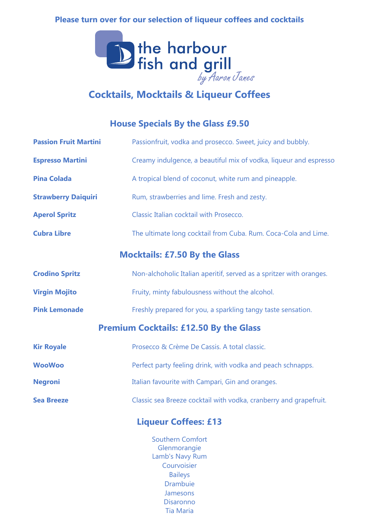## **Please turn over for our selection of liqueur coffees and cocktails**



# **Cocktails, Mocktails & Liqueur Coffees**

## **House Specials By the Glass £9.50**

| <b>Passion Fruit Martini</b> | Passionfruit, vodka and prosecco. Sweet, juicy and bubbly.                                  |
|------------------------------|---------------------------------------------------------------------------------------------|
| <b>Espresso Martini</b>      | Creamy indulgence, a beautiful mix of vodka, liqueur and espresso                           |
| <b>Pina Colada</b>           | A tropical blend of coconut, white rum and pineapple.                                       |
| <b>Strawberry Daiquiri</b>   | Rum, strawberries and lime. Fresh and zesty.                                                |
| <b>Aperol Spritz</b>         | Classic Italian cocktail with Prosecco.                                                     |
| <b>Cubra Libre</b>           | The ultimate long cocktail from Cuba. Rum. Coca-Cola and Lime.                              |
|                              | <b>Mocktails: £7.50 By the Glass</b>                                                        |
| <b>Crodino Spritz</b>        | Non-alchoholic Italian aperitif, served as a spritzer with oranges.                         |
| <b>Virgin Mojito</b>         | Fruity, minty fabulousness without the alcohol.                                             |
| <b>Pink Lemonade</b>         | Freshly prepared for you, a sparkling tangy taste sensation.                                |
|                              | <b>Premium Cocktails: £12.50 By the Glass</b>                                               |
| <b>Kir Royale</b>            | Prosecco & Crème De Cassis. A total classic.                                                |
| <b>WooWoo</b>                | Perfect party feeling drink, with vodka and peach schnapps.                                 |
| <b>Negroni</b>               | Italian favourite with Campari, Gin and oranges.                                            |
| <b>Sea Breeze</b>            | Classic sea Breeze cocktail with vodka, cranberry and grapefruit.                           |
|                              | <b>Liqueur Coffees: £13</b>                                                                 |
|                              | <b>Southern Comfort</b><br>Glenmorangie<br>Lamb's Navy Rum<br>Courvoisier<br><b>Baileys</b> |

Disaronno Drambuie Jamesons

Tia Maria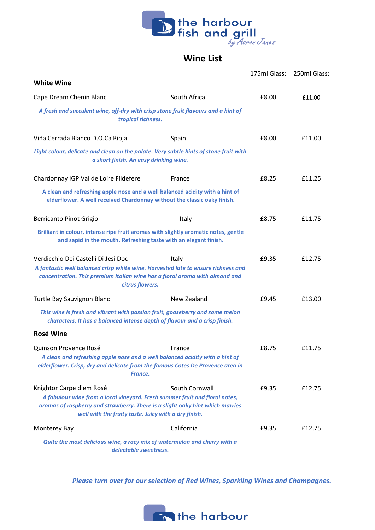

### **Wine List**

|                                                                                                                                                                                                                                                  |                | 175ml Glass: | 250ml Glass: |
|--------------------------------------------------------------------------------------------------------------------------------------------------------------------------------------------------------------------------------------------------|----------------|--------------|--------------|
| <b>White Wine</b>                                                                                                                                                                                                                                |                |              |              |
| Cape Dream Chenin Blanc                                                                                                                                                                                                                          | South Africa   | £8.00        | £11.00       |
| A fresh and succulent wine, off-dry with crisp stone fruit flavours and a hint of<br>tropical richness.                                                                                                                                          |                |              |              |
| Viña Cerrada Blanco D.O.Ca Rioja                                                                                                                                                                                                                 | Spain          | £8.00        | £11.00       |
| Light colour, delicate and clean on the palate. Very subtle hints of stone fruit with<br>a short finish. An easy drinking wine.                                                                                                                  |                |              |              |
| Chardonnay IGP Val de Loire Fildefere                                                                                                                                                                                                            | France         | £8.25        | £11.25       |
| A clean and refreshing apple nose and a well balanced acidity with a hint of<br>elderflower. A well received Chardonnay without the classic oaky finish.                                                                                         |                |              |              |
| Berricanto Pinot Grigio                                                                                                                                                                                                                          | Italy          | £8.75        | £11.75       |
| Brilliant in colour, intense ripe fruit aromas with slightly aromatic notes, gentle<br>and sapid in the mouth. Refreshing taste with an elegant finish.                                                                                          |                |              |              |
| Verdicchio Dei Castelli Di Jesi Doc<br>A fantastic well balanced crisp white wine. Harvested late to ensure richness and<br>concentration. This premium Italian wine has a floral aroma with almond and<br>citrus flowers.                       | Italy          | £9.35        | £12.75       |
| Turtle Bay Sauvignon Blanc                                                                                                                                                                                                                       | New Zealand    | £9.45        | £13.00       |
| This wine is fresh and vibrant with passion fruit, gooseberry and some melon<br>characters. It has a balanced intense depth of flavour and a crisp finish.                                                                                       |                |              |              |
| <b>Rosé Wine</b>                                                                                                                                                                                                                                 |                |              |              |
| Quinson Provence Rosé<br>A clean and refreshing apple nose and a well balanced acidity with a hint of<br>elderflower. Crisp, dry and delicate from the famous Cotes De Provence area in<br>France.                                               | France         | £8.75        | £11.75       |
| Knightor Carpe diem Rosé<br>A fabulous wine from a local vineyard. Fresh summer fruit and floral notes,<br>aromas of raspberry and strawberry. There is a slight oaky hint which marries<br>well with the fruity taste. Juicy with a dry finish. | South Cornwall | £9.35        | £12.75       |
| Monterey Bay                                                                                                                                                                                                                                     | California     | £9.35        | £12.75       |
| Quite the most delicious wine, a racy mix of watermelon and cherry with a<br>delectable sweetness.                                                                                                                                               |                |              |              |

*Please turn over for our selection of Red Wines, Sparkling Wines and Champagnes.*

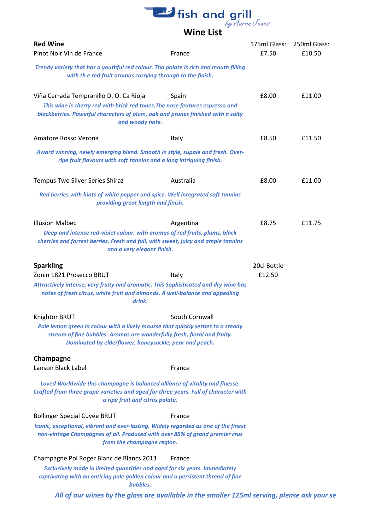# **L**<br>**Wine List**<br>Wine List

| <b>Red Wine</b>                                                                                                                                                                                                               |                | 175ml Glass:<br>£7.50 | 250ml Glass: |
|-------------------------------------------------------------------------------------------------------------------------------------------------------------------------------------------------------------------------------|----------------|-----------------------|--------------|
| Pinot Noir Vin de France<br>Trendy variety that has a youthful red colour. Tha palate is rich and mouth filling                                                                                                               | France         |                       | £10.50       |
| with th e red fruit aromas carrying through to the finish.                                                                                                                                                                    |                |                       |              |
| Viña Cerrada Tempranillo D. O. Ca Rioja<br>This wine is cherry red with brick red tones. The nose features espresso and<br>blackberries. Powerful characters of plum, oak and prunes finished with a salty<br>and woody note. | Spain          | £8.00                 | £11.00       |
| Amatore Rosso Verona                                                                                                                                                                                                          | Italy          | £8.50                 | £11.50       |
| Award winning, newly emerging blend. Smooth in style, supple and fresh. Over-<br>ripe fruit flavours with soft tannins and a long intriguing finish.                                                                          |                |                       |              |
| Tempus Two Silver Series Shiraz                                                                                                                                                                                               | Australia      | £8.00                 | £11.00       |
| Red berries with hints of white pepper and spice. Well integrated soft tannins<br>providing great length and finish.                                                                                                          |                |                       |              |
| <b>Illusion Malbec</b><br>Deep and intense red-violet colour, with aromas of red fruits, plums, black<br>cherries and forrest berries. Fresh and full, with sweet, juicy and ample tannins<br>and a very elegant finish.      | Argentina      | £8.75                 | £11.75       |
| <b>Sparkling</b>                                                                                                                                                                                                              |                | 20cl Bottle           |              |
| Zonin 1821 Prosecco BRUT                                                                                                                                                                                                      | Italy          | £12.50                |              |
| Attractively intense, very fruity and aromatic. This Sophisticated and dry wine has<br>notes of fresh citrus, white fruit and almonds. A well-balance and appealing<br>drink.                                                 |                |                       |              |
| Knightor BRUT                                                                                                                                                                                                                 | South Cornwall |                       |              |
| Pale lemon green in colour with a lively mousse that quickly settles to a steady<br>stream of fine bubbles. Aromas are wonderfully fresh, floral and fruity.<br>Dominated by elderflower, honeysuckle, pear and peach.        |                |                       |              |
| Champagne                                                                                                                                                                                                                     |                |                       |              |
| Lanson Black Label                                                                                                                                                                                                            | France         |                       |              |
| Loved Worldwide this champagne is balanced alliance of vitality and finesse.<br>Crafted from three grape varieties and aged for three years. Full of character with<br>a ripe fruit and citrus palate.                        |                |                       |              |
| <b>Bollinger Special Cuvée BRUT</b>                                                                                                                                                                                           | France         |                       |              |
| Iconic, exceptional, vibrant and ever-lasting. Widely regarded as one of the finest<br>non-vintage Champagnes of all. Produced with over 85% of grand premier crus<br>from the champagne region.                              |                |                       |              |
| Champagne Pol Roger Blanc de Blancs 2013                                                                                                                                                                                      | France         |                       |              |
| Exclusively made in limited quantities and aged for six years. Immediately<br>captivating with an enticing pale golden colour and a persistent thread of fine<br>bubbles.                                                     |                |                       |              |
| All of our wines by the glass are available in the smaller 125ml serving, please ask your se                                                                                                                                  |                |                       |              |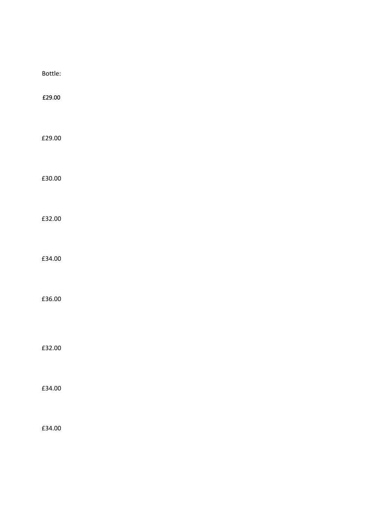| Bottle: |  |  |  |
|---------|--|--|--|
| £29.00  |  |  |  |
|         |  |  |  |
| £29.00  |  |  |  |
|         |  |  |  |
| £30.00  |  |  |  |
|         |  |  |  |
|         |  |  |  |
| £32.00  |  |  |  |
|         |  |  |  |
|         |  |  |  |
| £34.00  |  |  |  |
|         |  |  |  |
| £36.00  |  |  |  |
|         |  |  |  |
|         |  |  |  |
| £32.00  |  |  |  |
|         |  |  |  |
|         |  |  |  |
| £34.00  |  |  |  |
|         |  |  |  |
| £34.00  |  |  |  |